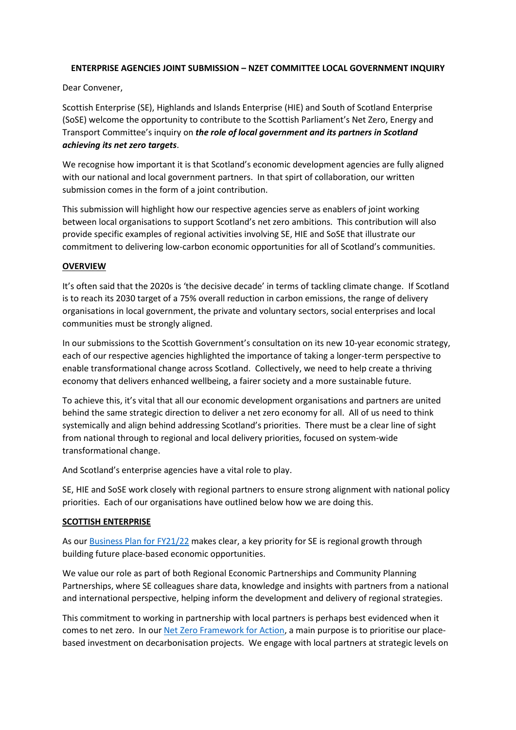## **ENTERPRISE AGENCIES JOINT SUBMISSION – NZET COMMITTEE LOCAL GOVERNMENT INQUIRY**

Dear Convener,

Scottish Enterprise (SE), Highlands and Islands Enterprise (HIE) and South of Scotland Enterprise (SoSE) welcome the opportunity to contribute to the Scottish Parliament's Net Zero, Energy and Transport Committee's inquiry on *the role of local government and its partners in Scotland achieving its net zero targets*.

We recognise how important it is that Scotland's economic development agencies are fully aligned with our national and local government partners. In that spirt of collaboration, our written submission comes in the form of a joint contribution.

This submission will highlight how our respective agencies serve as enablers of joint working between local organisations to support Scotland's net zero ambitions. This contribution will also provide specific examples of regional activities involving SE, HIE and SoSE that illustrate our commitment to delivering low-carbon economic opportunities for all of Scotland's communities.

## **OVERVIEW**

It's often said that the 2020s is 'the decisive decade' in terms of tackling climate change. If Scotland is to reach its 2030 target of a 75% overall reduction in carbon emissions, the range of delivery organisations in local government, the private and voluntary sectors, social enterprises and local communities must be strongly aligned.

In our submissions to the Scottish Government's consultation on its new 10-year economic strategy, each of our respective agencies highlighted the importance of taking a longer-term perspective to enable transformational change across Scotland. Collectively, we need to help create a thriving economy that delivers enhanced wellbeing, a fairer society and a more sustainable future.

To achieve this, it's vital that all our economic development organisations and partners are united behind the same strategic direction to deliver a net zero economy for all. All of us need to think systemically and align behind addressing Scotland's priorities. There must be a clear line of sight from national through to regional and local delivery priorities, focused on system-wide transformational change.

And Scotland's enterprise agencies have a vital role to play.

SE, HIE and SoSE work closely with regional partners to ensure strong alignment with national policy priorities. Each of our organisations have outlined below how we are doing this.

# **SCOTTISH ENTERPRISE**

As our [Business Plan for FY21/22](https://www.scottish-enterprise-mediacentre.com/news/new-plan-to-accelerate-green-economic-recovery) makes clear, a key priority for SE is regional growth through building future place-based economic opportunities.

We value our role as part of both Regional Economic Partnerships and Community Planning Partnerships, where SE colleagues share data, knowledge and insights with partners from a national and international perspective, helping inform the development and delivery of regional strategies.

This commitment to working in partnership with local partners is perhaps best evidenced when it comes to net zero. In our [Net Zero Framework for Action,](https://www.scottish-enterprise.com/media/4044/net-zero-framework-for-action.pdf) a main purpose is to prioritise our placebased investment on decarbonisation projects. We engage with local partners at strategic levels on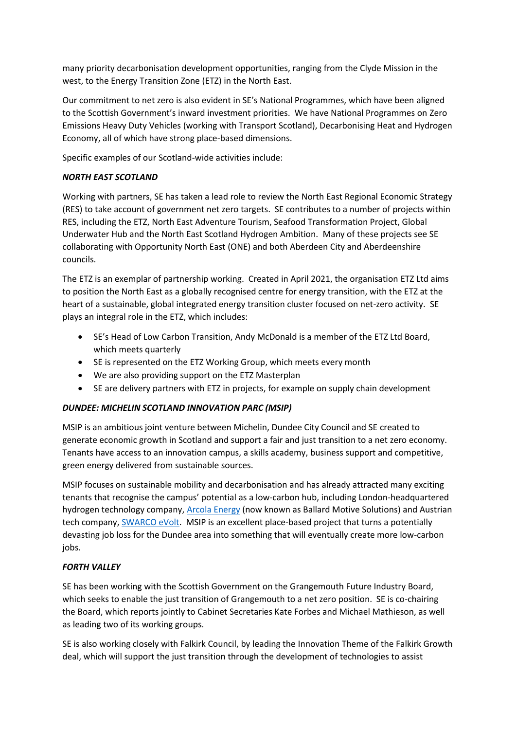many priority decarbonisation development opportunities, ranging from the Clyde Mission in the west, to the Energy Transition Zone (ETZ) in the North East.

Our commitment to net zero is also evident in SE's National Programmes, which have been aligned to the Scottish Government's inward investment priorities. We have National Programmes on Zero Emissions Heavy Duty Vehicles (working with Transport Scotland), Decarbonising Heat and Hydrogen Economy, all of which have strong place-based dimensions.

Specific examples of our Scotland-wide activities include:

# *NORTH EAST SCOTLAND*

Working with partners, SE has taken a lead role to review the North East Regional Economic Strategy (RES) to take account of government net zero targets. SE contributes to a number of projects within RES, including the ETZ, North East Adventure Tourism, Seafood Transformation Project, Global Underwater Hub and the North East Scotland Hydrogen Ambition. Many of these projects see SE collaborating with Opportunity North East (ONE) and both Aberdeen City and Aberdeenshire councils.

The ETZ is an exemplar of partnership working. Created in April 2021, the organisation ETZ Ltd aims to position the North East as a globally recognised centre for energy transition, with the ETZ at the heart of a sustainable, global integrated energy transition cluster focused on net-zero activity. SE plays an integral role in the ETZ, which includes:

- SE's Head of Low Carbon Transition, Andy McDonald is a member of the ETZ Ltd Board, which meets quarterly
- SE is represented on the ETZ Working Group, which meets every month
- We are also providing support on the ETZ Masterplan
- SE are delivery partners with ETZ in projects, for example on supply chain development

# *DUNDEE: MICHELIN SCOTLAND INNOVATION PARC (MSIP)*

MSIP is an ambitious joint venture between Michelin, Dundee City Council and SE created to generate economic growth in Scotland and support a fair and just transition to a net zero economy. Tenants have access to an innovation campus, a skills academy, business support and competitive, green energy delivered from sustainable sources.

MSIP focuses on sustainable mobility and decarbonisation and has already attracted many exciting tenants that recognise the campus' potential as a low-carbon hub, including London-headquartered hydrogen technology company[, Arcola Energy](https://www.scottish-enterprise-mediacentre.com/news/driving) (now known as Ballard Motive Solutions) and Austrian tech company, [SWARCO eVolt.](https://www.sdi.co.uk/news-features/news-and-feature-articles/arcola-and-swarco-among-the-first-tenants-at-scotland-s-new-sustainable-transport-hub) MSIP is an excellent place-based project that turns a potentially devasting job loss for the Dundee area into something that will eventually create more low-carbon jobs.

# *FORTH VALLEY*

SE has been working with the Scottish Government on the Grangemouth Future Industry Board, which seeks to enable the just transition of Grangemouth to a net zero position. SE is co-chairing the Board, which reports jointly to Cabinet Secretaries Kate Forbes and Michael Mathieson, as well as leading two of its working groups.

SE is also working closely with Falkirk Council, by leading the Innovation Theme of the Falkirk Growth deal, which will support the just transition through the development of technologies to assist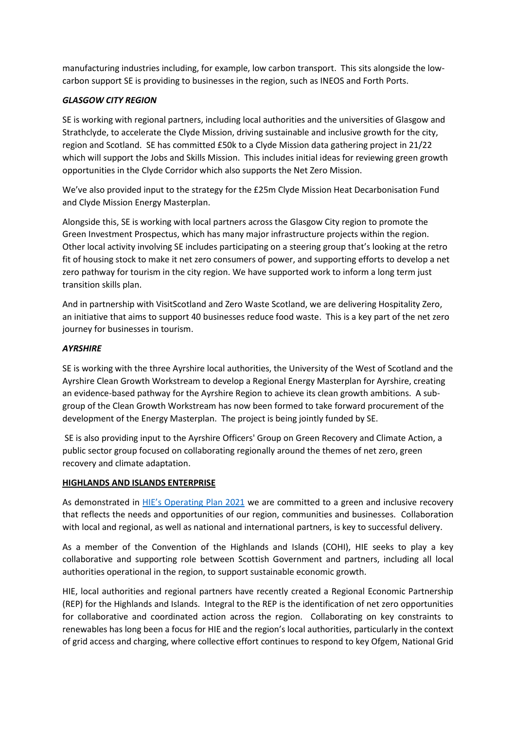manufacturing industries including, for example, low carbon transport. This sits alongside the lowcarbon support SE is providing to businesses in the region, such as INEOS and Forth Ports.

# *GLASGOW CITY REGION*

SE is working with regional partners, including local authorities and the universities of Glasgow and Strathclyde, to accelerate the Clyde Mission, driving sustainable and inclusive growth for the city, region and Scotland. SE has committed £50k to a Clyde Mission data gathering project in 21/22 which will support the Jobs and Skills Mission. This includes initial ideas for reviewing green growth opportunities in the Clyde Corridor which also supports the Net Zero Mission.

We've also provided input to the strategy for the £25m Clyde Mission Heat Decarbonisation Fund and Clyde Mission Energy Masterplan.

Alongside this, SE is working with local partners across the Glasgow City region to promote the Green Investment Prospectus, which has many major infrastructure projects within the region. Other local activity involving SE includes participating on a steering group that's looking at the retro fit of housing stock to make it net zero consumers of power, and supporting efforts to develop a net zero pathway for tourism in the city region. We have supported work to inform a long term just transition skills plan.

And in partnership with VisitScotland and Zero Waste Scotland, we are delivering Hospitality Zero, an initiative that aims to support 40 businesses reduce food waste. This is a key part of the net zero journey for businesses in tourism.

# *AYRSHIRE*

SE is working with the three Ayrshire local authorities, the University of the West of Scotland and the Ayrshire Clean Growth Workstream to develop a Regional Energy Masterplan for Ayrshire, creating an evidence-based pathway for the Ayrshire Region to achieve its clean growth ambitions. A subgroup of the Clean Growth Workstream has now been formed to take forward procurement of the development of the Energy Masterplan. The project is being jointly funded by SE.

SE is also providing input to the Ayrshire Officers' Group on Green Recovery and Climate Action, a public sector group focused on collaborating regionally around the themes of net zero, green recovery and climate adaptation.

# **HIGHLANDS AND ISLANDS ENTERPRISE**

As demonstrated in [HIE's Operating Plan 2021](https://www.hie.co.uk/media/10769/hie-operating-plan-2021-updated140621.pdf) we are committed to a green and inclusive recovery that reflects the needs and opportunities of our region, communities and businesses. Collaboration with local and regional, as well as national and international partners, is key to successful delivery.

As a member of the Convention of the Highlands and Islands (COHI), HIE seeks to play a key collaborative and supporting role between Scottish Government and partners, including all local authorities operational in the region, to support sustainable economic growth.

HIE, local authorities and regional partners have recently created a Regional Economic Partnership (REP) for the Highlands and Islands. Integral to the REP is the identification of net zero opportunities for collaborative and coordinated action across the region. Collaborating on key constraints to renewables has long been a focus for HIE and the region's local authorities, particularly in the context of grid access and charging, where collective effort continues to respond to key Ofgem, National Grid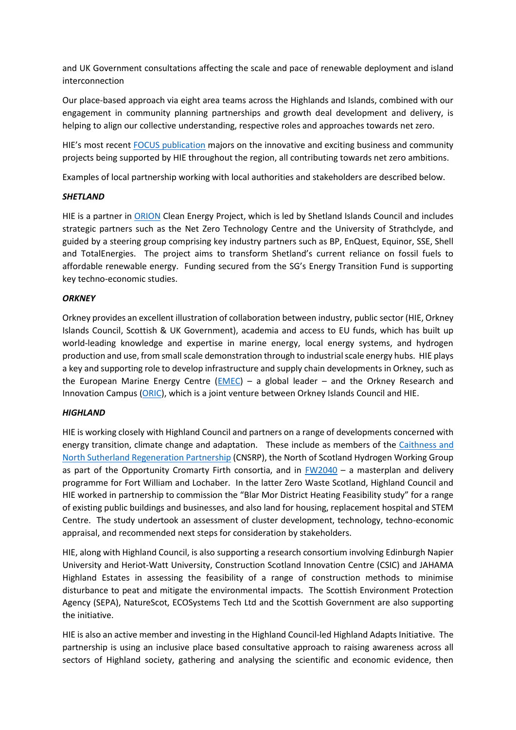and UK Government consultations affecting the scale and pace of renewable deployment and island interconnection

Our place-based approach via eight area teams across the Highlands and Islands, combined with our engagement in community planning partnerships and growth deal development and delivery, is helping to align our collective understanding, respective roles and approaches towards net zero.

HIE's most recent [FOCUS publication](https://www.hie.co.uk/about-us/focus/) majors on the innovative and exciting business and community projects being supported by HIE throughout the region, all contributing towards net zero ambitions.

Examples of local partnership working with local authorities and stakeholders are described below.

### *SHETLAND*

HIE is a partner in [ORION](https://www.orioncleanenergy.com/) Clean Energy Project, which is led by Shetland Islands Council and includes strategic partners such as the Net Zero Technology Centre and the University of Strathclyde, and guided by a steering group comprising key industry partners such as BP, EnQuest, Equinor, SSE, Shell and TotalEnergies. The project aims to transform Shetland's current reliance on fossil fuels to affordable renewable energy. Funding secured from the SG's Energy Transition Fund is supporting key techno-economic studies.

## *ORKNEY*

Orkney provides an excellent illustration of collaboration between industry, public sector (HIE, Orkney Islands Council, Scottish & UK Government), academia and access to EU funds, which has built up world-leading knowledge and expertise in marine energy, local energy systems, and hydrogen production and use, from small scale demonstration through to industrial scale energy hubs. HIE plays a key and supporting role to develop infrastructure and supply chain developments in Orkney, such as the European Marine Energy Centre  $(EMEC)$  – a global leader – and the Orkney Research and Innovation Campus [\(ORIC\)](https://www.orkney.com/life/energy/oric), which is a joint venture between Orkney Islands Council and HIE.

# *HIGHLAND*

HIE is working closely with Highland Council and partners on a range of developments concerned with energy transition, climate change and adaptation. These include as members of the [Caithness and](https://www.cnsrp.org.uk/)  [North Sutherland Regeneration Partnership](https://www.cnsrp.org.uk/) (CNSRP), the North of Scotland Hydrogen Working Group as part of the Opportunity Cromarty Firth consortia, and in  $FW2040 - a$  masterplan and delivery programme for Fort William and Lochaber. In the latter Zero Waste Scotland, Highland Council and HIE worked in partnership to commission the "Blar Mor District Heating Feasibility study" for a range of existing public buildings and businesses, and also land for housing, replacement hospital and STEM Centre. The study undertook an assessment of cluster development, technology, techno-economic appraisal, and recommended next steps for consideration by stakeholders.

HIE, along with Highland Council, is also supporting a research consortium involving Edinburgh Napier University and Heriot-Watt University, Construction Scotland Innovation Centre (CSIC) and JAHAMA Highland Estates in assessing the feasibility of a range of construction methods to minimise disturbance to peat and mitigate the environmental impacts. The Scottish Environment Protection Agency (SEPA), NatureScot, ECOSystems Tech Ltd and the Scottish Government are also supporting the initiative.

HIE is also an active member and investing in the Highland Council-led Highland Adapts Initiative. The partnership is using an inclusive place based consultative approach to raising awareness across all sectors of Highland society, gathering and analysing the scientific and economic evidence, then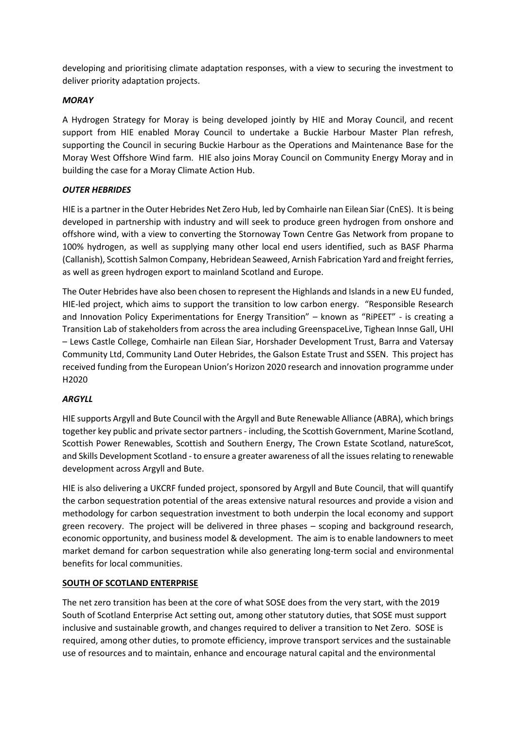developing and prioritising climate adaptation responses, with a view to securing the investment to deliver priority adaptation projects.

## *MORAY*

A Hydrogen Strategy for Moray is being developed jointly by HIE and Moray Council, and recent support from HIE enabled Moray Council to undertake a Buckie Harbour Master Plan refresh, supporting the Council in securing Buckie Harbour as the Operations and Maintenance Base for the Moray West Offshore Wind farm. HIE also joins Moray Council on Community Energy Moray and in building the case for a Moray Climate Action Hub.

## *OUTER HEBRIDES*

HIE is a partner in the Outer Hebrides Net Zero Hub, led by Comhairle nan Eilean Siar (CnES). It is being developed in partnership with industry and will seek to produce green hydrogen from onshore and offshore wind, with a view to converting the Stornoway Town Centre Gas Network from propane to 100% hydrogen, as well as supplying many other local end users identified, such as BASF Pharma (Callanish), Scottish Salmon Company, Hebridean Seaweed, Arnish Fabrication Yard and freight ferries, as well as green hydrogen export to mainland Scotland and Europe.

The Outer Hebrides have also been chosen to represent the Highlands and Islands in a new EU funded, HIE-led project, which aims to support the transition to low carbon energy. "Responsible Research and Innovation Policy Experimentations for Energy Transition" – known as "RiPEET" - is creating a Transition Lab of stakeholders from across the area including GreenspaceLive, Tighean Innse Gall, UHI – Lews Castle College, Comhairle nan Eilean Siar, Horshader Development Trust, Barra and Vatersay Community Ltd, Community Land Outer Hebrides, the Galson Estate Trust and SSEN. This project has received funding from the European Union's Horizon 2020 research and innovation programme under H2020

### *ARGYLL*

HIE supports Argyll and Bute Council with the Argyll and Bute Renewable Alliance (ABRA), which brings together key public and private sector partners - including, the Scottish Government, Marine Scotland, Scottish Power Renewables, Scottish and Southern Energy, The Crown Estate Scotland, natureScot, and Skills Development Scotland - to ensure a greater awareness of all the issues relating to renewable development across Argyll and Bute.

HIE is also delivering a UKCRF funded project, sponsored by Argyll and Bute Council, that will quantify the carbon sequestration potential of the areas extensive natural resources and provide a vision and methodology for carbon sequestration investment to both underpin the local economy and support green recovery. The project will be delivered in three phases – scoping and background research, economic opportunity, and business model & development. The aim is to enable landowners to meet market demand for carbon sequestration while also generating long-term social and environmental benefits for local communities.

### **SOUTH OF SCOTLAND ENTERPRISE**

The net zero transition has been at the core of what SOSE does from the very start, with the 2019 South of Scotland Enterprise Act setting out, among other statutory duties, that SOSE must support inclusive and sustainable growth, and changes required to deliver a transition to Net Zero. SOSE is required, among other duties, to promote efficiency, improve transport services and the sustainable use of resources and to maintain, enhance and encourage natural capital and the environmental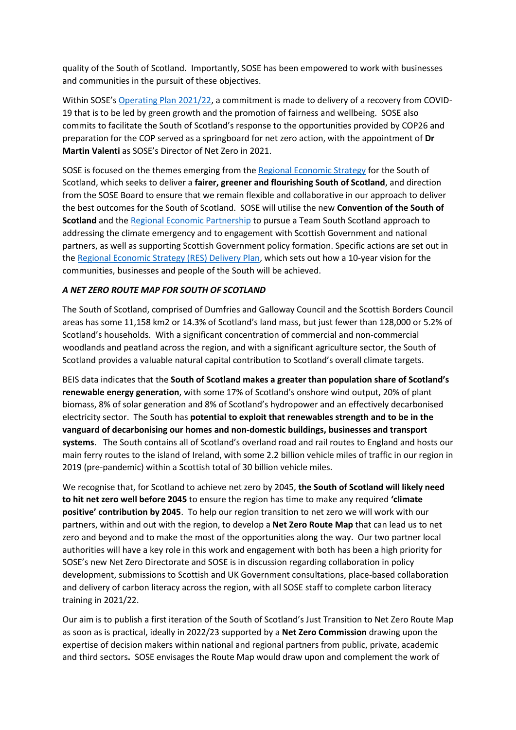quality of the South of Scotland. Importantly, SOSE has been empowered to work with businesses and communities in the pursuit of these objectives.

Within SOSE's [Operating Plan 2021/22,](https://www.soseoperatingplan.com/) a commitment is made to delivery of a recovery from COVID-19 that is to be led by green growth and the promotion of fairness and wellbeing. SOSE also commits to facilitate the South of Scotland's response to the opportunities provided by COP26 and preparation for the COP served as a springboard for net zero action, with the appointment of **Dr Martin Valenti** as SOSE's Director of Net Zero in 2021.

SOSE is focused on the themes emerging from the [Regional Economic Strategy](https://www.southofscotlandenterprise.com/news/components-folder/filtered-listing-panel/southofscotlandreslaunch) for the South of Scotland, which seeks to deliver a **fairer, greener and flourishing South of Scotland**, and direction from the SOSE Board to ensure that we remain flexible and collaborative in our approach to deliver the best outcomes for the South of Scotland. SOSE will utilise the new **Convention of the South of Scotland** and th[e Regional Economic Partnership](https://sosrep.dumgal.gov.uk/) to pursue a Team South Scotland approach to addressing the climate emergency and to engagement with Scottish Government and national partners, as well as supporting Scottish Government policy formation. Specific actions are set out in th[e Regional Economic Strategy \(RES\) Delivery Plan,](https://sosrep.dumgal.gov.uk/article/23758/Delivery-Plan) which sets out how a 10-year vision for the communities, businesses and people of the South will be achieved.

# *A NET ZERO ROUTE MAP FOR SOUTH OF SCOTLAND*

The South of Scotland, comprised of Dumfries and Galloway Council and the Scottish Borders Council areas has some 11,158 km2 or 14.3% of Scotland's land mass, but just fewer than 128,000 or 5.2% of Scotland's households. With a significant concentration of commercial and non-commercial woodlands and peatland across the region, and with a significant agriculture sector, the South of Scotland provides a valuable natural capital contribution to Scotland's overall climate targets.

BEIS data indicates that the **South of Scotland makes a greater than population share of Scotland's renewable energy generation**, with some 17% of Scotland's onshore wind output, 20% of plant biomass, 8% of solar generation and 8% of Scotland's hydropower and an effectively decarbonised electricity sector. The South has **potential to exploit that renewables strength and to be in the vanguard of decarbonising our homes and non-domestic buildings, businesses and transport systems**. The South contains all of Scotland's overland road and rail routes to England and hosts our main ferry routes to the island of Ireland, with some 2.2 billion vehicle miles of traffic in our region in 2019 (pre-pandemic) within a Scottish total of 30 billion vehicle miles.

We recognise that, for Scotland to achieve net zero by 2045, **the South of Scotland will likely need to hit net zero well before 2045** to ensure the region has time to make any required **'climate positive' contribution by 2045**. To help our region transition to net zero we will work with our partners, within and out with the region, to develop a **Net Zero Route Map** that can lead us to net zero and beyond and to make the most of the opportunities along the way. Our two partner local authorities will have a key role in this work and engagement with both has been a high priority for SOSE's new Net Zero Directorate and SOSE is in discussion regarding collaboration in policy development, submissions to Scottish and UK Government consultations, place-based collaboration and delivery of carbon literacy across the region, with all SOSE staff to complete carbon literacy training in 2021/22.

Our aim is to publish a first iteration of the South of Scotland's Just Transition to Net Zero Route Map as soon as is practical, ideally in 2022/23 supported by a **Net Zero Commission** drawing upon the expertise of decision makers within national and regional partners from public, private, academic and third sectors**.** SOSE envisages the Route Map would draw upon and complement the work of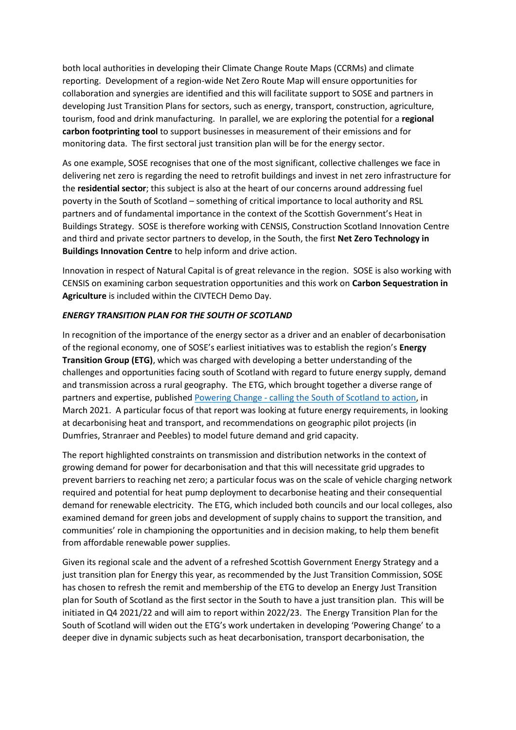both local authorities in developing their Climate Change Route Maps (CCRMs) and climate reporting. Development of a region-wide Net Zero Route Map will ensure opportunities for collaboration and synergies are identified and this will facilitate support to SOSE and partners in developing Just Transition Plans for sectors, such as energy, transport, construction, agriculture, tourism, food and drink manufacturing. In parallel, we are exploring the potential for a **regional carbon footprinting tool** to support businesses in measurement of their emissions and for monitoring data. The first sectoral just transition plan will be for the energy sector.

As one example, SOSE recognises that one of the most significant, collective challenges we face in delivering net zero is regarding the need to retrofit buildings and invest in net zero infrastructure for the **residential sector**; this subject is also at the heart of our concerns around addressing fuel poverty in the South of Scotland – something of critical importance to local authority and RSL partners and of fundamental importance in the context of the Scottish Government's Heat in Buildings Strategy. SOSE is therefore working with CENSIS, Construction Scotland Innovation Centre and third and private sector partners to develop, in the South, the first **Net Zero Technology in Buildings Innovation Centre** to help inform and drive action.

Innovation in respect of Natural Capital is of great relevance in the region. SOSE is also working with CENSIS on examining carbon sequestration opportunities and this work on **Carbon Sequestration in Agriculture** is included within the CIVTECH Demo Day.

## *ENERGY TRANSITION PLAN FOR THE SOUTH OF SCOTLAND*

In recognition of the importance of the energy sector as a driver and an enabler of decarbonisation of the regional economy, one of SOSE's earliest initiatives was to establish the region's **Energy Transition Group (ETG)**, which was charged with developing a better understanding of the challenges and opportunities facing south of Scotland with regard to future energy supply, demand and transmission across a rural geography. The ETG, which brought together a diverse range of partners and expertise, published Powering Change - [calling the South of Scotland to action,](https://www.southofscotlandenterprise.com/media/1227/powering-change-calling-the-south-of-scotland-to-action-final.pdf) in March 2021. A particular focus of that report was looking at future energy requirements, in looking at decarbonising heat and transport, and recommendations on geographic pilot projects (in Dumfries, Stranraer and Peebles) to model future demand and grid capacity.

The report highlighted constraints on transmission and distribution networks in the context of growing demand for power for decarbonisation and that this will necessitate grid upgrades to prevent barriers to reaching net zero; a particular focus was on the scale of vehicle charging network required and potential for heat pump deployment to decarbonise heating and their consequential demand for renewable electricity. The ETG, which included both councils and our local colleges, also examined demand for green jobs and development of supply chains to support the transition, and communities' role in championing the opportunities and in decision making, to help them benefit from affordable renewable power supplies.

Given its regional scale and the advent of a refreshed Scottish Government Energy Strategy and a just transition plan for Energy this year, as recommended by the Just Transition Commission, SOSE has chosen to refresh the remit and membership of the ETG to develop an Energy Just Transition plan for South of Scotland as the first sector in the South to have a just transition plan. This will be initiated in Q4 2021/22 and will aim to report within 2022/23. The Energy Transition Plan for the South of Scotland will widen out the ETG's work undertaken in developing 'Powering Change' to a deeper dive in dynamic subjects such as heat decarbonisation, transport decarbonisation, the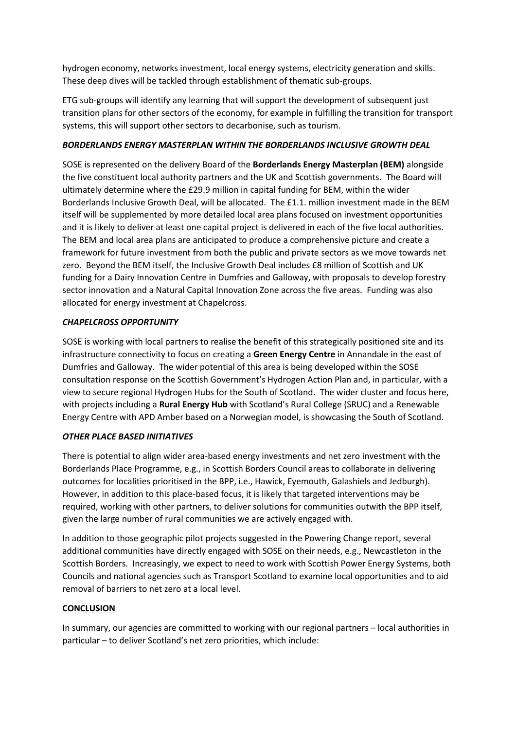hydrogen economy, networks investment, local energy systems, electricity generation and skills. These deep dives will be tackled through establishment of thematic sub-groups.

ETG sub-groups will identify any learning that will support the development of subsequent just transition plans for other sectors of the economy, for example in fulfilling the transition for transport systems, this will support other sectors to decarbonise, such as tourism.

# *BORDERLANDS ENERGY MASTERPLAN WITHIN THE BORDERLANDS INCLUSIVE GROWTH DEAL*

SOSE is represented on the delivery Board of the **Borderlands Energy Masterplan (BEM)** alongside the five constituent local authority partners and the UK and Scottish governments. The Board will ultimately determine where the £29.9 million in capital funding for BEM, within the wider Borderlands Inclusive Growth Deal, will be allocated. The £1.1. million investment made in the BEM itself will be supplemented by more detailed local area plans focused on investment opportunities and it is likely to deliver at least one capital project is delivered in each of the five local authorities. The BEM and local area plans are anticipated to produce a comprehensive picture and create a framework for future investment from both the public and private sectors as we move towards net zero. Beyond the BEM itself, the Inclusive Growth Deal includes £8 million of Scottish and UK funding for a Dairy Innovation Centre in Dumfries and Galloway, with proposals to develop forestry sector innovation and a Natural Capital Innovation Zone across the five areas. Funding was also allocated for energy investment at Chapelcross.

# *CHAPELCROSS OPPORTUNITY*

SOSE is working with local partners to realise the benefit of this strategically positioned site and its infrastructure connectivity to focus on creating a **Green Energy Centre** in Annandale in the east of Dumfries and Galloway. The wider potential of this area is being developed within the SOSE consultation response on the Scottish Government's Hydrogen Action Plan and, in particular, with a view to secure regional Hydrogen Hubs for the South of Scotland. The wider cluster and focus here, with projects including a **Rural Energy Hub** with Scotland's Rural College (SRUC) and a Renewable Energy Centre with APD Amber based on a Norwegian model, is showcasing the South of Scotland.

# *OTHER PLACE BASED INITIATIVES*

There is potential to align wider area-based energy investments and net zero investment with the Borderlands Place Programme, e.g., in Scottish Borders Council areas to collaborate in delivering outcomes for localities prioritised in the BPP, i.e., Hawick, Eyemouth, Galashiels and Jedburgh). However, in addition to this place-based focus, it is likely that targeted interventions may be required, working with other partners, to deliver solutions for communities outwith the BPP itself, given the large number of rural communities we are actively engaged with.

In addition to those geographic pilot projects suggested in the Powering Change report, several additional communities have directly engaged with SOSE on their needs, e.g., Newcastleton in the Scottish Borders. Increasingly, we expect to need to work with Scottish Power Energy Systems, both Councils and national agencies such as Transport Scotland to examine local opportunities and to aid removal of barriers to net zero at a local level.

# **CONCLUSION**

In summary, our agencies are committed to working with our regional partners – local authorities in particular – to deliver Scotland's net zero priorities, which include: